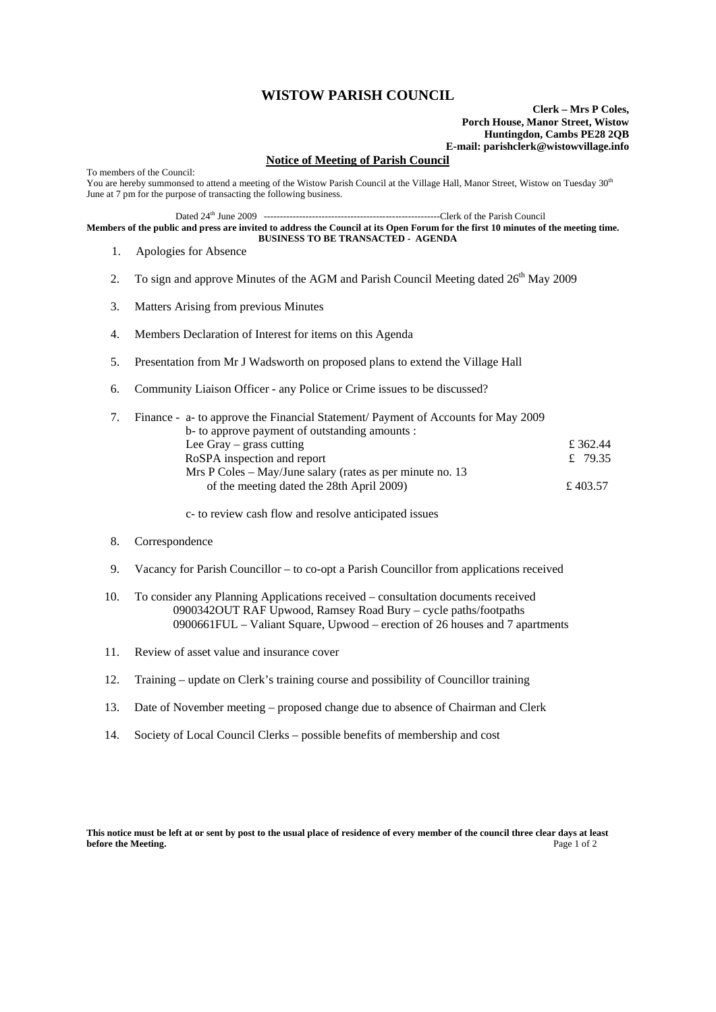## **WISTOW PARISH COUNCIL**

**Clerk – Mrs P Coles, Porch House, Manor Street, Wistow Huntingdon, Cambs PE28 2QB E-mail: parishclerk@wistowvillage.info**

## **Notice of Meeting of Parish Council**

To members of the Council: You are hereby summonsed to attend a meeting of the Wistow Parish Council at the Village Hall, Manor Street, Wistow on Tuesday 30<sup>th</sup> June at 7 pm for the purpose of transacting the following business.

Dated 24th June 2009 -------------------------------------------------------Clerk of the Parish Council

**Members of the public and press are invited to address the Council at its Open Forum for the first 10 minutes of the meeting time. BUSINESS TO BE TRANSACTED - AGENDA** 

- 1. Apologies for Absence
- 2. To sign and approve Minutes of the AGM and Parish Council Meeting dated  $26<sup>th</sup>$  May 2009
- 3. Matters Arising from previous Minutes
- 4. Members Declaration of Interest for items on this Agenda
- 5. Presentation from Mr J Wadsworth on proposed plans to extend the Village Hall
- 6. Community Liaison Officer any Police or Crime issues to be discussed?

|  | Finance - a- to approve the Financial Statement/ Payment of Accounts for May 2009 |          |
|--|-----------------------------------------------------------------------------------|----------|
|  | b- to approve payment of outstanding amounts :                                    |          |
|  | Lee Gray $-$ grass cutting                                                        | £ 362.44 |
|  | RoSPA inspection and report                                                       | £ 79.35  |
|  | Mrs P Coles – May/June salary (rates as per minute no. 13)                        |          |
|  | of the meeting dated the 28th April 2009)                                         | £ 403.57 |
|  |                                                                                   |          |

c- to review cash flow and resolve anticipated issues

## 8. Correspondence

- 9. Vacancy for Parish Councillor to co-opt a Parish Councillor from applications received
- 10. To consider any Planning Applications received consultation documents received 0900342OUT RAF Upwood, Ramsey Road Bury – cycle paths/footpaths 0900661FUL – Valiant Square, Upwood – erection of 26 houses and 7 apartments
- 11. Review of asset value and insurance cover
- 12. Training update on Clerk's training course and possibility of Councillor training
- 13. Date of November meeting proposed change due to absence of Chairman and Clerk
- 14. Society of Local Council Clerks possible benefits of membership and cost

**This notice must be left at or sent by post to the usual place of residence of every member of the council three clear days at least before the Meeting.** Page 1 of 2 **before the Meeting.**